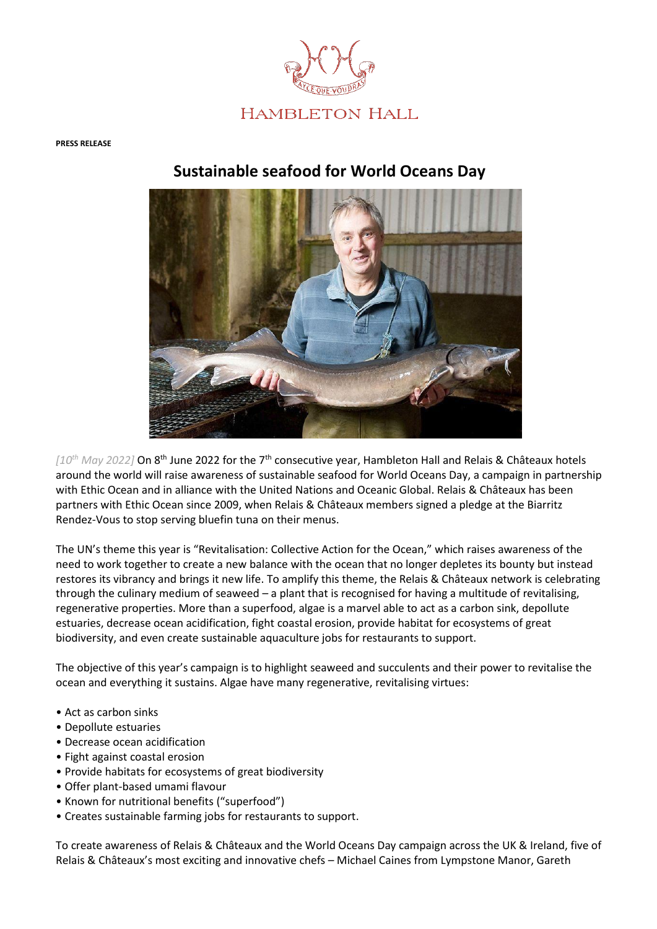

#### **PRESS RELEASE**

# **Sustainable seafood for World Oceans Day**



*[10th May 2022]* On 8th June 2022 for the 7th consecutive year, Hambleton Hall and Relais & Châteaux hotels around the world will raise awareness of sustainable seafood for World Oceans Day, a campaign in partnership with Ethic Ocean and in alliance with the United Nations and Oceanic Global. Relais & Châteaux has been partners with Ethic Ocean since 2009, when Relais & Châteaux members signed a pledge at the Biarritz Rendez-Vous to stop serving bluefin tuna on their menus.

The UN's theme this year is "Revitalisation: Collective Action for the Ocean," which raises awareness of the need to work together to create a new balance with the ocean that no longer depletes its bounty but instead restores its vibrancy and brings it new life. To amplify this theme, the Relais & Châteaux network is celebrating through the culinary medium of seaweed – a plant that is recognised for having a multitude of revitalising, regenerative properties. More than a superfood, algae is a marvel able to act as a carbon sink, depollute estuaries, decrease ocean acidification, fight coastal erosion, provide habitat for ecosystems of great biodiversity, and even create sustainable aquaculture jobs for restaurants to support.

The objective of this year's campaign is to highlight seaweed and succulents and their power to revitalise the ocean and everything it sustains. Algae have many regenerative, revitalising virtues:

- Act as carbon sinks
- Depollute estuaries
- Decrease ocean acidification
- Fight against coastal erosion
- Provide habitats for ecosystems of great biodiversity
- Offer plant-based umami flavour
- Known for nutritional benefits ("superfood")
- Creates sustainable farming jobs for restaurants to support.

To create awareness of Relais & Châteaux and the World Oceans Day campaign across the UK & Ireland, five of Relais & Châteaux's most exciting and innovative chefs – Michael Caines from Lympstone Manor, Gareth